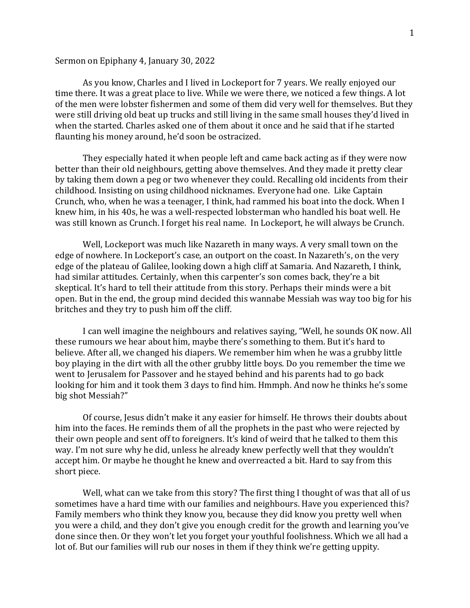## Sermon on Epiphany 4, January 30, 2022

As you know, Charles and I lived in Lockeport for 7 years. We really enjoyed our time there. It was a great place to live. While we were there, we noticed a few things. A lot of the men were lobster fishermen and some of them did very well for themselves. But they were still driving old beat up trucks and still living in the same small houses they'd lived in when the started. Charles asked one of them about it once and he said that if he started flaunting his money around, he'd soon be ostracized.

They especially hated it when people left and came back acting as if they were now better than their old neighbours, getting above themselves. And they made it pretty clear by taking them down a peg or two whenever they could. Recalling old incidents from their childhood. Insisting on using childhood nicknames. Everyone had one. Like Captain Crunch, who, when he was a teenager, I think, had rammed his boat into the dock. When I knew him, in his 40s, he was a well-respected lobsterman who handled his boat well. He was still known as Crunch. I forget his real name. In Lockeport, he will always be Crunch.

Well, Lockeport was much like Nazareth in many ways. A very small town on the edge of nowhere. In Lockeport's case, an outport on the coast. In Nazareth's, on the very edge of the plateau of Galilee, looking down a high cliff at Samaria. And Nazareth, I think, had similar attitudes. Certainly, when this carpenter's son comes back, they're a bit skeptical. It's hard to tell their attitude from this story. Perhaps their minds were a bit open. But in the end, the group mind decided this wannabe Messiah was way too big for his britches and they try to push him off the cliff.

I can well imagine the neighbours and relatives saying, "Well, he sounds OK now. All these rumours we hear about him, maybe there's something to them. But it's hard to believe. After all, we changed his diapers. We remember him when he was a grubby little boy playing in the dirt with all the other grubby little boys. Do you remember the time we went to Jerusalem for Passover and he stayed behind and his parents had to go back looking for him and it took them 3 days to find him. Hmmph. And now he thinks he's some big shot Messiah?"

Of course, Jesus didn't make it any easier for himself. He throws their doubts about him into the faces. He reminds them of all the prophets in the past who were rejected by their own people and sent off to foreigners. It's kind of weird that he talked to them this way. I'm not sure why he did, unless he already knew perfectly well that they wouldn't accept him. Or maybe he thought he knew and overreacted a bit. Hard to say from this short piece.

Well, what can we take from this story? The first thing I thought of was that all of us sometimes have a hard time with our families and neighbours. Have you experienced this? Family members who think they know you, because they did know you pretty well when you were a child, and they don't give you enough credit for the growth and learning you've done since then. Or they won't let you forget your youthful foolishness. Which we all had a lot of. But our families will rub our noses in them if they think we're getting uppity.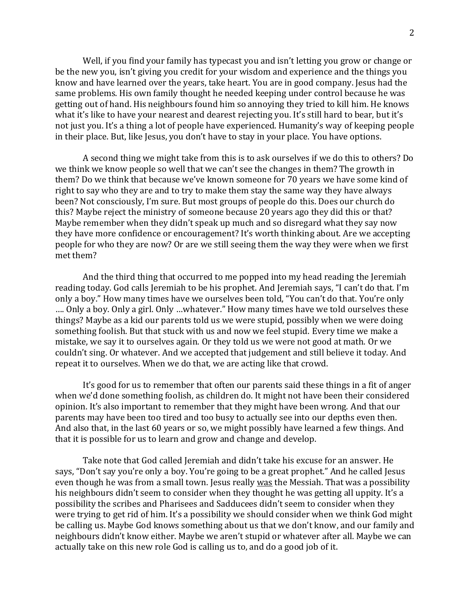Well, if you find your family has typecast you and isn't letting you grow or change or be the new you, isn't giving you credit for your wisdom and experience and the things you know and have learned over the years, take heart. You are in good company. Jesus had the same problems. His own family thought he needed keeping under control because he was getting out of hand. His neighbours found him so annoying they tried to kill him. He knows what it's like to have your nearest and dearest rejecting you. It's still hard to bear, but it's not just you. It's a thing a lot of people have experienced. Humanity's way of keeping people in their place. But, like Jesus, you don't have to stay in your place. You have options.

A second thing we might take from this is to ask ourselves if we do this to others? Do we think we know people so well that we can't see the changes in them? The growth in them? Do we think that because we've known someone for 70 years we have some kind of right to say who they are and to try to make them stay the same way they have always been? Not consciously, I'm sure. But most groups of people do this. Does our church do this? Maybe reject the ministry of someone because 20 years ago they did this or that? Maybe remember when they didn't speak up much and so disregard what they say now they have more confidence or encouragement? It's worth thinking about. Are we accepting people for who they are now? Or are we still seeing them the way they were when we first met them?

And the third thing that occurred to me popped into my head reading the Jeremiah reading today. God calls Jeremiah to be his prophet. And Jeremiah says, "I can't do that. I'm only a boy." How many times have we ourselves been told, "You can't do that. You're only …. Only a boy. Only a girl. Only …whatever." How many times have we told ourselves these things? Maybe as a kid our parents told us we were stupid, possibly when we were doing something foolish. But that stuck with us and now we feel stupid. Every time we make a mistake, we say it to ourselves again. Or they told us we were not good at math. Or we couldn't sing. Or whatever. And we accepted that judgement and still believe it today. And repeat it to ourselves. When we do that, we are acting like that crowd.

It's good for us to remember that often our parents said these things in a fit of anger when we'd done something foolish, as children do. It might not have been their considered opinion. It's also important to remember that they might have been wrong. And that our parents may have been too tired and too busy to actually see into our depths even then. And also that, in the last 60 years or so, we might possibly have learned a few things. And that it is possible for us to learn and grow and change and develop.

Take note that God called Jeremiah and didn't take his excuse for an answer. He says, "Don't say you're only a boy. You're going to be a great prophet." And he called Jesus even though he was from a small town. Jesus really was the Messiah. That was a possibility his neighbours didn't seem to consider when they thought he was getting all uppity. It's a possibility the scribes and Pharisees and Sadducees didn't seem to consider when they were trying to get rid of him. It's a possibility we should consider when we think God might be calling us. Maybe God knows something about us that we don't know, and our family and neighbours didn't know either. Maybe we aren't stupid or whatever after all. Maybe we can actually take on this new role God is calling us to, and do a good job of it.